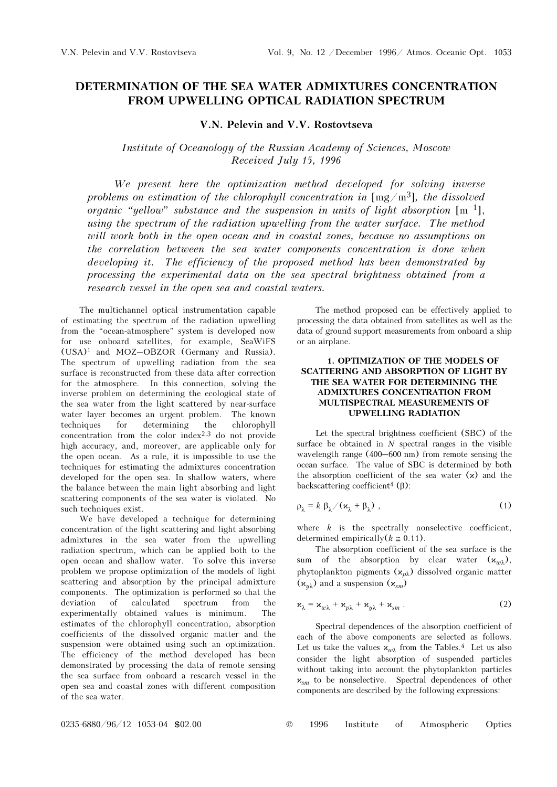# DETERMINATION OF THE SEA WATER ADMIXTURES CONCENTRATION FROM UPWELLING OPTICAL RADIATION SPECTRUM

### V.N. Pelevin and V.V. Rostovtseva

## Institute of Oceanology of the Russian Academy of Sciences, Moscow Received July 15, 1996

We present here the optimization method developed for solving inverse problems on estimation of the chlorophyll concentration in  $[mg/m<sup>3</sup>]$ , the dissolved organic "yellow" substance and the suspension in units of light absorption  $[m^{-1}]$ , using the spectrum of the radiation upwelling from the water surface. The method will work both in the open ocean and in coastal zones, because no assumptions on the correlation between the sea water components concentration is done when developing it. The efficiency of the proposed method has been demonstrated by processing the experimental data on the sea spectral brightness obtained from a research vessel in the open sea and coastal waters.

The multichannel optical instrumentation capable of estimating the spectrum of the radiation upwelling from the "ocean-atmosphere" system is developed now for use onboard satellites, for example, SeaWiFS (USA)1 and MOZ–OBZOR (Germany and Russia). The spectrum of upwelling radiation from the sea surface is reconstructed from these data after correction for the atmosphere. In this connection, solving the inverse problem on determining the ecological state of the sea water from the light scattered by near-surface water layer becomes an urgent problem. The known techniques for determining the chlorophyll concentration from the color index2,3 do not provide high accuracy, and, moreover, are applicable only for the open ocean. As a rule, it is impossible to use the techniques for estimating the admixtures concentration developed for the open sea. In shallow waters, where the balance between the main light absorbing and light scattering components of the sea water is violated. No such techniques exist.

We have developed a technique for determining concentration of the light scattering and light absorbing admixtures in the sea water from the upwelling radiation spectrum, which can be applied both to the open ocean and shallow water. To solve this inverse problem we propose optimization of the models of light scattering and absorption by the principal admixture components. The optimization is performed so that the deviation of calculated spectrum from the experimentally obtained values is minimum. The estimates of the chlorophyll concentration, absorption coefficients of the dissolved organic matter and the suspension were obtained using such an optimization. The efficiency of the method developed has been demonstrated by processing the data of remote sensing the sea surface from onboard a research vessel in the open sea and coastal zones with different composition of the sea water.

The method proposed can be effectively applied to processing the data obtained from satellites as well as the data of ground support measurements from onboard a ship or an airplane.

#### 1. OPTIMIZATION OF THE MODELS OF SCATTERING AND ABSORPTION OF LIGHT BY THE SEA WATER FOR DETERMINING THE ADMIXTURES CONCENTRATION FROM MULTISPECTRAL MEASUREMENTS OF UPWELLING RADIATION

Let the spectral brightness coefficient (SBC) of the surface be obtained in  $N$  spectral ranges in the visible wavelength range (400–600 nm) from remote sensing the ocean surface. The value of SBC is determined by both the absorption coefficient of the sea water  $(x)$  and the backscattering coefficient<sup>4</sup> ( $\beta$ ):

$$
\rho_{\lambda} = k \beta_{\lambda} / (\mathbf{x}_{\lambda} + \beta_{\lambda}), \qquad (1)
$$

where  $k$  is the spectrally nonselective coefficient, determined empirically( $k \approx 0.11$ ).

The absorption coefficient of the sea surface is the sum of the absorption by clear water  $(\mathbf{x}_{w\lambda})$ , phytoplankton pigments  $(x_{p\lambda})$  dissolved organic matter  $(\mathbf{x}_{w\lambda})$  and a suspension  $(\mathbf{x}_{sm})$ 

$$
\mathbf{x}_{\lambda} = \mathbf{x}_{w\lambda} + \mathbf{x}_{p\lambda} + \mathbf{x}_{y\lambda} + \mathbf{x}_{sm} \tag{2}
$$

Spectral dependences of the absorption coefficient of each of the above components are selected as follows. Let us take the values  $x_{w\lambda}$  from the Tables.<sup>4</sup> Let us also consider the light absorption of suspended particles without taking into account the phytoplankton particles  $x_{\text{sm}}$  to be nonselective. Spectral dependences of other components are described by the following expressions:

0235-6880/96/12 1053-04 \$02.00 © 1996 Institute of Atmospheric Optics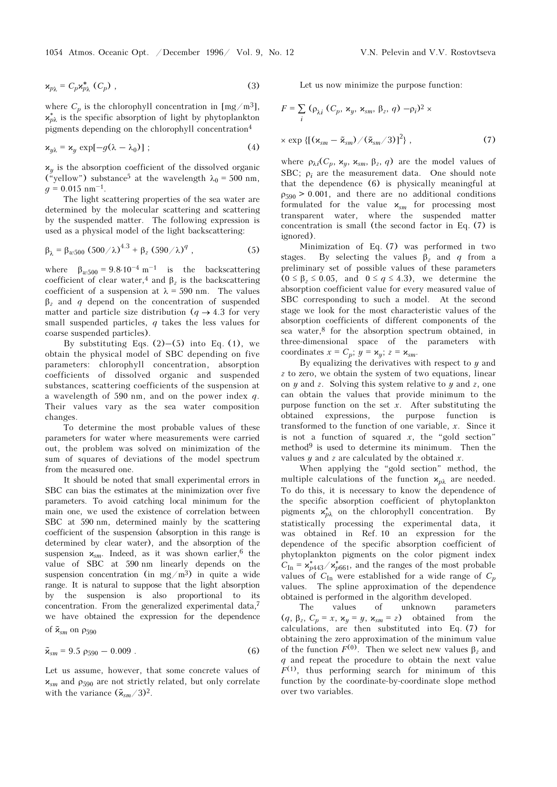$$
\mathbf{x}_{p\lambda} = C_p \mathbf{x}_{p\lambda}^* \ (C_p) \tag{3}
$$

where  $C_p$  is the chlorophyll concentration in [mg/m<sup>3</sup>],  $\mathbf{x}_{p\lambda}^*$  is the specific absorption of light by phytoplankton pigments depending on the chlorophyll concentration<sup>4</sup>

$$
\mathbf{x}_{y\lambda} = \mathbf{x}_y \exp[-g(\lambda - \lambda_0)] \tag{4}
$$

 $x_y$  is the absorption coefficient of the dissolved organic ("yellow") substance<sup>5</sup> at the wavelength  $\lambda_0 = 500$  nm,  $q = 0.015$  nm<sup>-1</sup>.  $x_y$  is the absorpt<br>
("yellow") subst<br>  $g = 0.015$  nm<sup>-1</sup>.

The light scattering properties of the sea water are determined by the molecular scattering and scattering by the suspended matter. The following expression is used as a physical model of the light backscattering:

$$
\beta_{\lambda} = \beta_{w500} (500/\lambda)^{4.3} + \beta_{z} (590/\lambda)^{q} , \qquad (5)
$$

where  $\beta_{\omega 500} = 9.8 \cdot 10^{-4} \text{ m}^{-1}$  is the backscattering coefficient of clear water,<sup>4</sup> and  $\beta$ <sub>z</sub> is the backscattering coefficient of a suspension at  $\lambda = 590$  nm. The values  $β<sub>z</sub>$  and q depend on the concentration of suspended matter and particle size distribution ( $q \rightarrow 4.3$  for very small suspended particles,  $q$  takes the less values for coarse suspended particles).

By substituting Eqs.  $(2)$ – $(5)$  into Eq.  $(1)$ , we obtain the physical model of SBC depending on five parameters: chlorophyll concentration, absorption coefficients of dissolved organic and suspended substances, scattering coefficients of the suspension at a wavelength of 590 nm, and on the power index q. Their values vary as the sea water composition changes.

To determine the most probable values of these parameters for water where measurements were carried out, the problem was solved on minimization of the sum of squares of deviations of the model spectrum from the measured one.

It should be noted that small experimental errors in SBC can bias the estimates at the minimization over five parameters. To avoid catching local minimum for the main one, we used the existence of correlation between SBC at 590 nm, determined mainly by the scattering coefficient of the suspension (absorption in this range is determined by clear water), and the absorption of the suspension  $x_{sm}$ . Indeed, as it was shown earlier,<sup>6</sup> the value of SBC at 590 nm linearly depends on the suspension concentration (in  $mg/m<sup>3</sup>$ ) in quite a wide range. It is natural to suppose that the light absorption by the suspension is also proportional to its concentration. From the generalized experimental data,<sup>7</sup> we have obtained the expression for the dependence of  $\tilde{\mathbf{z}}_{sm}$  on  $\rho_{590}$ 

$$
\tilde{\kappa}_{sm} = 9.5 \rho_{590} - 0.009 \ . \tag{6}
$$

Let us assume, however, that some concrete values of  $x_{\rm sm}$  and  $\rho_{590}$  are not strictly related, but only correlate with the variance  $(\tilde{\mathbf{x}}_{sm}/3)^2$ .

Let us now minimize the purpose function:

$$
F = \sum_{i} (\rho_{\lambda i} (C_p, \mathbf{x}_y, \mathbf{x}_{sm}, \beta_z, q) - \rho_i)^2 \times
$$

$$
\times \exp \left\{ \left[ \left( \mathbf{x}_{sm} - \tilde{\mathbf{x}}_{sm} \right) / \left( \tilde{\mathbf{x}}_{sm} / 3 \right) \right]^2 \right\}, \tag{7}
$$

where  $\rho_{\lambda i}(C_p, x_y, x_{sm}, \beta_z, q)$  are the model values of SBC;  $ρ<sub>i</sub>$  are the measurement data. One should note that the dependence (6) is physically meaningful at  $\rho_{590} > 0.001$ , and there are no additional conditions formulated for the value  $x_{sm}$  for processing most transparent water, where the suspended matter concentration is small (the second factor in Eq. (7) is ignored).

Minimization of Eq. (7) was performed in two stages. By selecting the values  $\beta_z$  and q from a preliminary set of possible values of these parameters  $(0 \leq \beta_{z} \leq 0.05, \text{ and } 0 \leq q \leq 4.3)$ , we determine the absorption coefficient value for every measured value of SBC corresponding to such a model. At the second stage we look for the most characteristic values of the absorption coefficients of different components of the sea water, $8$  for the absorption spectrum obtained, in three-dimensional space of the parameters with coordinates  $x = C_p$ ;  $y = \kappa_y$ ;  $z = \kappa_{sm}$ .

By equalizing the derivatives with respect to  $y$  and z to zero, we obtain the system of two equations, linear on  $y$  and  $z$ . Solving this system relative to  $y$  and  $z$ , one can obtain the values that provide minimum to the purpose function on the set  $x$ . After substituting the obtained expressions, the purpose function is transformed to the function of one variable,  $x$ . Since it is not a function of squared  $x$ , the "gold section" method9 is used to determine its minimum. Then the values  $y$  and  $z$  are calculated by the obtained  $x$ .

When applying the "gold section" method, the multiple calculations of the function  $x_{p\lambda}$  are needed. To do this, it is necessary to know the dependence of the specific absorption coefficient of phytoplankton pigments  $x_{p\lambda}^*$  on the chlorophyll concentration. By statistically processing the experimental data, it was obtained in Ref. 10 an expression for the dependence of the specific absorption coefficient of phytoplankton pigments on the color pigment index  $C_{\text{In}} = \frac{\mathbf{x}_{p443}^*}{\sqrt{\mathbf{x}_{p661}^*}}$ , and the ranges of the most probable values of  $C_{\text{In}}$  were established for a wide range of  $C_p$ values. The spline approximation of the dependence obtained is performed in the algorithm developed.

The values of unknown parameters (q,  $\beta_z$ ,  $C_p = x$ ,  $\mathbf{x}_y = y$ ,  $\mathbf{x}_{sm} = z$ ) obtained from the calculations, are then substituted into Eq. (7) for obtaining the zero approximation of the minimum value of the function  $F^{(0)}$ . Then we select new values  $β_2$  and q and repeat the procedure to obtain the next value  $F<sup>(1)</sup>$ , thus performing search for minimum of this function by the coordinate-by-coordinate slope method over two variables.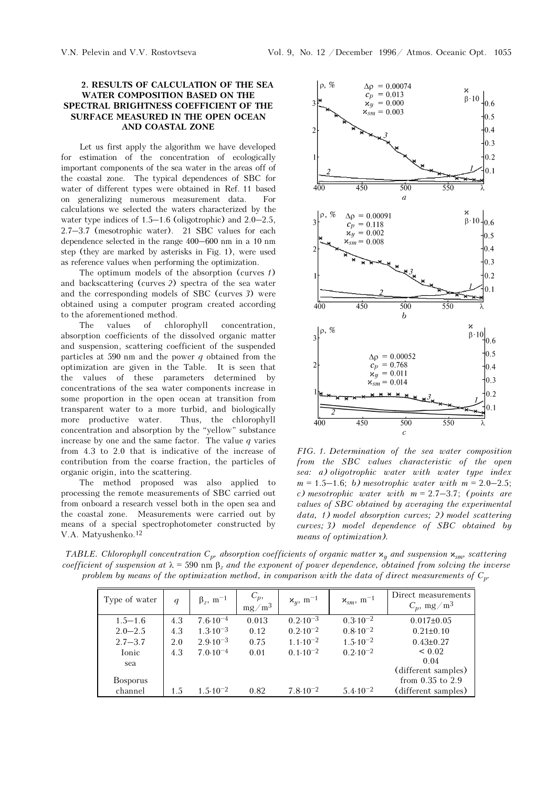#### 2. RESULTS OF CALCULATION OF THE SEA WATER COMPOSITION BASED ON THE SPECTRAL BRIGHTNESS COEFFICIENT OF THE SURFACE MEASURED IN THE OPEN OCEAN AND COASTAL ZONE

Let us first apply the algorithm we have developed for estimation of the concentration of ecologically important components of the sea water in the areas off of the coastal zone. The typical dependences of SBC for water of different types were obtained in Ref. 11 based on generalizing numerous measurement data. For calculations we selected the waters characterized by the water type indices of  $1.5-1.6$  (oligotrophic) and  $2.0-2.5$ , 2.7–3.7 (mesotrophic water). 21 SBC values for each dependence selected in the range 400–600 nm in a 10 nm step (they are marked by asterisks in Fig. 1), were used as reference values when performing the optimization.

The optimum models of the absorption (curves 1) and backscattering (curves 2) spectra of the sea water and the corresponding models of SBC (curves 3) were obtained using a computer program created according to the aforementioned method.

The values of chlorophyll concentration, absorption coefficients of the dissolved organic matter and suspension, scattering coefficient of the suspended particles at 590 nm and the power  $q$  obtained from the optimization are given in the Table. It is seen that the values of these parameters determined by concentrations of the sea water components increase in some proportion in the open ocean at transition from transparent water to a more turbid, and biologically more productive water. Thus, the chlorophyll concentration and absorption by the "yellow" substance increase by one and the same factor. The value  $q$  varies from 4.3 to 2.0 that is indicative of the increase of contribution from the coarse fraction, the particles of organic origin, into the scattering.

The method proposed was also applied to processing the remote measurements of SBC carried out from onboard a research vessel both in the open sea and the coastal zone. Measurements were carried out by means of a special spectrophotometer constructed by V.A. Matyushenko.<sup>12</sup>



FIG. 1. Determination of the sea water composition from the SBC values characteristic of the open sea: a) oligotrophic water with water type index  $m = 1.5 - 1.6$ ; b) mesotrophic water with  $m = 2.0 - 2.5$ ; c) mesotrophic water with  $m = 2.7 - 3.7$ ; (points are values of SBC obtained by averaging the experimental data, 1) model absorption curves; 2) model scattering curves; 3) model dependence of SBC obtained by means of optimization).

TABLE. Chlorophyll concentration  $C_p$ , absorption coefficients of organic matter  $x_y$  and suspension  $x_{sm}$ , scattering coefficient of suspension at  $\lambda = 590$  nm  $\beta_2$  and the exponent of power dependence, obtained from solving the inverse problem by means of the optimization method, in comparison with the data of direct measurements of  $C_{p \cdot}$ 

|                 |                  |                             |                     |                                  |                                     | it of suspension at $\lambda = 590$ nm $\beta$ , and the exponent of power dependence, obtained from solving th<br>blem by means of the optimization method, in comparison with the data of direct measurements of |
|-----------------|------------------|-----------------------------|---------------------|----------------------------------|-------------------------------------|--------------------------------------------------------------------------------------------------------------------------------------------------------------------------------------------------------------------|
| Type of water   | $\boldsymbol{q}$ | $\beta_z$ , m <sup>-1</sup> | $C_p$ ,<br>$mg/m^3$ | $\mathbf{x}_y$ , m <sup>-1</sup> | $\mathbf{x}_{sm}$ , m <sup>-1</sup> | Direct measurements<br>$C_p$ , mg/m <sup>3</sup>                                                                                                                                                                   |
| $1.5 - 1.6$     | 4.3              | $7.6 \cdot 10^{-4}$         | 0.013               | $0.2 \cdot 10^{-3}$              | $0.3.10^{-2}$                       | $0.017 \pm 0.05$                                                                                                                                                                                                   |
| $2.0 - 2.5$     | 4.3              | $1.3 \cdot 10^{-3}$         | 0.12                | $0.2 \cdot 10^{-2}$              | $0.8 \cdot 10^{-2}$                 | $0.21 \pm 0.10$                                                                                                                                                                                                    |
| $2.7 - 3.7$     | 2.0              | $2.9.10^{-3}$               | 0.75                | $1.1 \cdot 10^{-2}$              | $1.5 \cdot 10^{-2}$                 | $0.43 \pm 0.27$                                                                                                                                                                                                    |
| Ionic           | 4.3              | $7.0.10^{-4}$               | 0.01                | $0.1 \cdot 10^{-2}$              | $0.2 \cdot 10^{-2}$                 | < 0.02                                                                                                                                                                                                             |
| sea             |                  |                             |                     |                                  |                                     | 0.04                                                                                                                                                                                                               |
|                 |                  |                             |                     |                                  |                                     | (different samples)                                                                                                                                                                                                |
| <b>Bosporus</b> |                  |                             |                     |                                  |                                     | from $0.35$ to $2.9$                                                                                                                                                                                               |
| channel         | 1.5              | $1.5 \cdot 10^{-2}$         | 0.82                | $7.8 \cdot 10^{-2}$              | $5.4 \cdot 10^{-2}$                 | (different samples)                                                                                                                                                                                                |